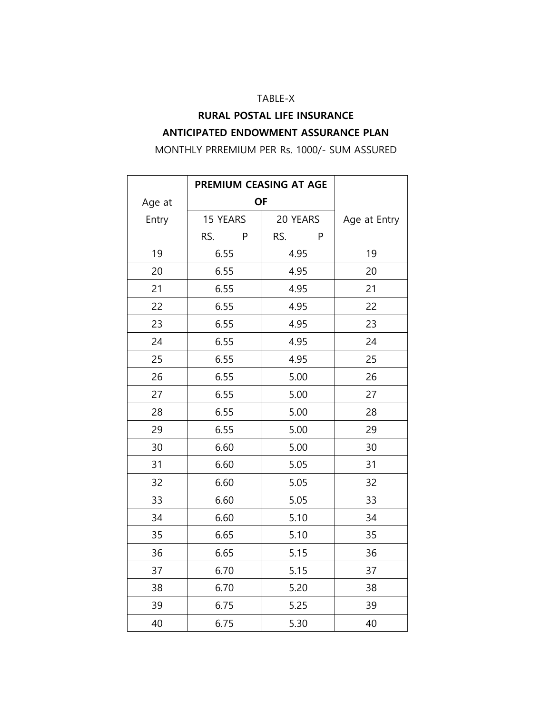#### TABLE-X

## **RURAL POSTAL LIFE INSURANCE ANTICIPATED ENDOWMENT ASSURANCE PLAN**

MONTHLY PRREMIUM PER Rs. 1000/- SUM ASSURED

|        | PREMIUM CEASING AT AGE |          |              |
|--------|------------------------|----------|--------------|
| Age at | <b>OF</b>              |          |              |
| Entry  | 15 YEARS               | 20 YEARS | Age at Entry |
|        | RS.<br>P               | RS.<br>P |              |
| 19     | 6.55                   | 4.95     | 19           |
| 20     | 6.55                   | 4.95     | 20           |
| 21     | 6.55                   | 4.95     | 21           |
| 22     | 6.55                   | 4.95     | 22           |
| 23     | 6.55                   | 4.95     | 23           |
| 24     | 6.55                   | 4.95     | 24           |
| 25     | 6.55                   | 4.95     | 25           |
| 26     | 6.55                   | 5.00     | 26           |
| 27     | 6.55                   | 5.00     | 27           |
| 28     | 6.55                   | 5.00     | 28           |
| 29     | 6.55                   | 5.00     | 29           |
| 30     | 6.60                   | 5.00     | 30           |
| 31     | 6.60                   | 5.05     | 31           |
| 32     | 6.60                   | 5.05     | 32           |
| 33     | 6.60                   | 5.05     | 33           |
| 34     | 6.60                   | 5.10     | 34           |
| 35     | 6.65                   | 5.10     | 35           |
| 36     | 6.65                   | 5.15     | 36           |
| 37     | 6.70                   | 5.15     | 37           |
| 38     | 6.70                   | 5.20     | 38           |
| 39     | 6.75                   | 5.25     | 39           |
| 40     | 6.75                   | 5.30     | 40           |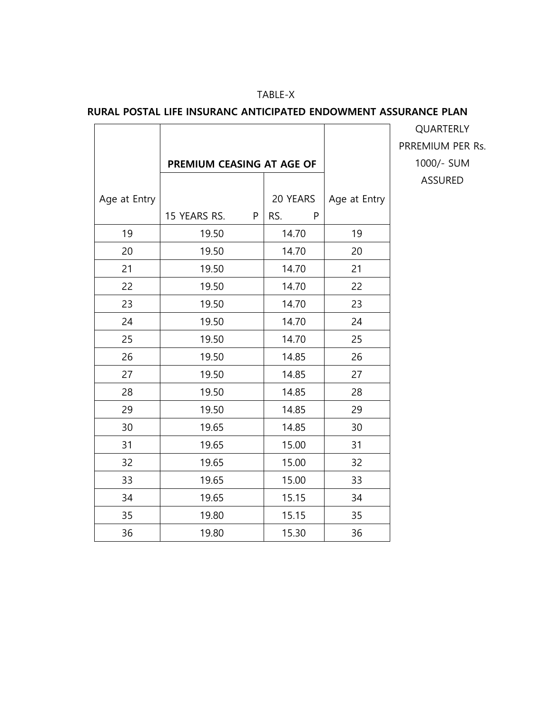### TABLE-X

### **RURAL POSTAL LIFE INSURANC ANTICIPATED ENDOWMENT ASSURANCE PLAN**

|              |                           |   |          |              | QUARTERLY      |
|--------------|---------------------------|---|----------|--------------|----------------|
|              |                           |   |          |              | PRREMIUM PER   |
|              | PREMIUM CEASING AT AGE OF |   |          |              | 1000/- SUM     |
|              |                           |   |          |              | <b>ASSURED</b> |
| Age at Entry |                           |   | 20 YEARS | Age at Entry |                |
|              | 15 YEARS RS.              | P | RS.<br>P |              |                |
| 19           | 19.50                     |   | 14.70    | 19           |                |
| 20           | 19.50                     |   | 14.70    | 20           |                |
| 21           | 19.50                     |   | 14.70    | 21           |                |
| 22           | 19.50                     |   | 14.70    | 22           |                |
| 23           | 19.50                     |   | 14.70    | 23           |                |
| 24           | 19.50                     |   | 14.70    | 24           |                |
| 25           | 19.50                     |   | 14.70    | 25           |                |
| 26           | 19.50                     |   | 14.85    | 26           |                |
| 27           | 19.50                     |   | 14.85    | 27           |                |
| 28           | 19.50                     |   | 14.85    | 28           |                |
| 29           | 19.50                     |   | 14.85    | 29           |                |
| 30           | 19.65                     |   | 14.85    | 30           |                |
| 31           | 19.65                     |   | 15.00    | 31           |                |
| 32           | 19.65                     |   | 15.00    | 32           |                |
| 33           | 19.65                     |   | 15.00    | 33           |                |
| 34           | 19.65                     |   | 15.15    | 34           |                |
| 35           | 19.80                     |   | 15.15    | 35           |                |
| 36           | 19.80                     |   | 15.30    | 36           |                |

PRREMIUM PER Rs. 1000/- SUM ASSURED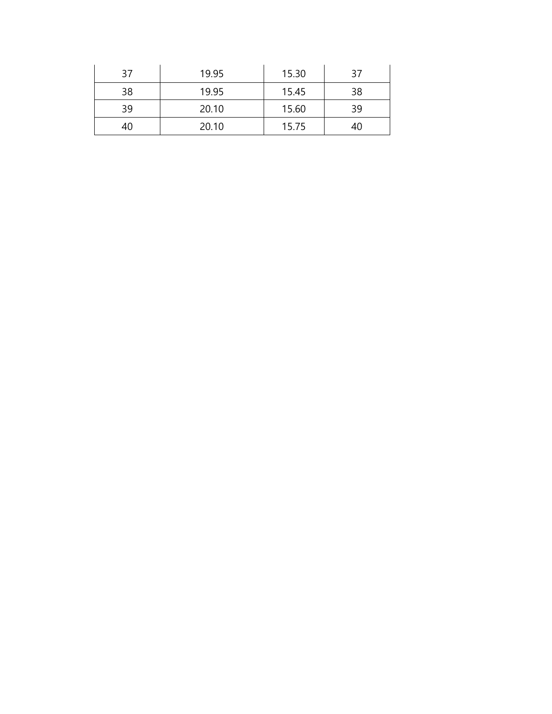| 37 | 19.95 | 15.30 | 37 |
|----|-------|-------|----|
| 38 | 19.95 | 15.45 | 38 |
| 39 | 20.10 | 15.60 | 39 |
| 40 | 20.10 | 15.75 | 40 |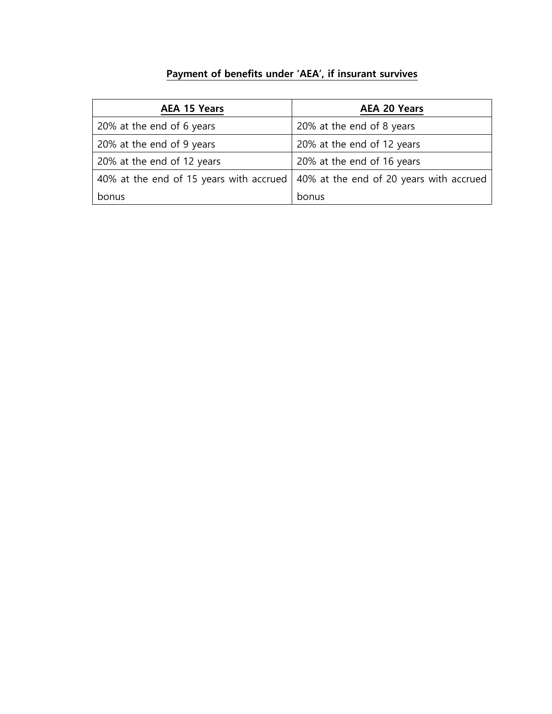# **Payment of benefits under 'AEA', if insurant survives**

| <b>AEA 15 Years</b>                                                               | <b>AEA 20 Years</b>        |
|-----------------------------------------------------------------------------------|----------------------------|
| 20% at the end of 6 years                                                         | 20% at the end of 8 years  |
| 20% at the end of 9 years                                                         | 20% at the end of 12 years |
| 20% at the end of 12 years                                                        | 20% at the end of 16 years |
| 40% at the end of 15 years with accrued   40% at the end of 20 years with accrued |                            |
| bonus                                                                             | bonus                      |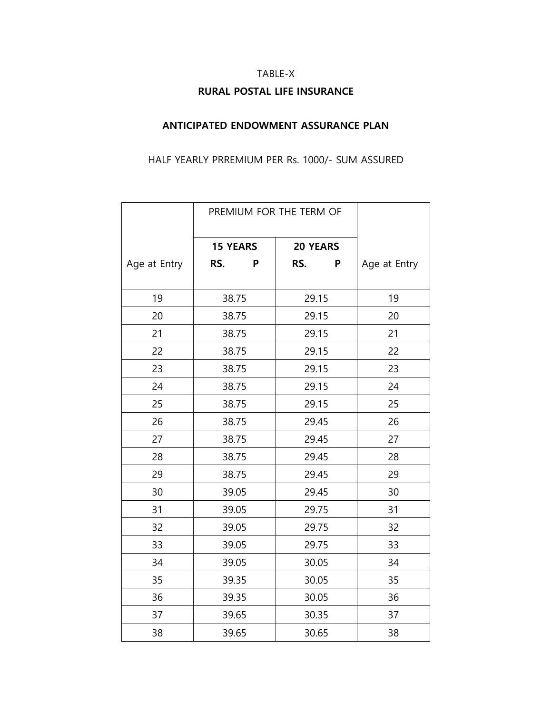# TABLE-X **RURAL POSTAL LIFE INSURANCE**

### **ANTICIPATED ENDOWMENT ASSURANCE PLAN**

#### HALF YEARLY PRREMIUM PER Rs. 1000/- SUM ASSURED

|              | PREMIUM FOR THE TERM OF            |   |       |   |              |
|--------------|------------------------------------|---|-------|---|--------------|
|              | <b>15 YEARS</b><br><b>20 YEARS</b> |   |       |   |              |
| Age at Entry | RS.                                | P | RS.   | P | Age at Entry |
| 19           | 38.75                              |   | 29.15 |   | 19           |
| 20           | 38.75                              |   | 29.15 |   | 20           |
| 21           | 38.75                              |   | 29.15 |   | 21           |
| 22           | 38.75                              |   | 29.15 |   | 22           |
| 23           | 38.75                              |   | 29.15 |   | 23           |
| 24           | 38.75                              |   | 29.15 |   | 24           |
| 25           | 38.75                              |   | 29.15 |   | 25           |
| 26           | 38.75                              |   | 29.45 |   | 26           |
| 27           | 38.75                              |   | 29.45 |   | 27           |
| 28           | 38.75                              |   | 29.45 |   | 28           |
| 29           | 38.75                              |   | 29.45 |   | 29           |
| 30           | 39.05                              |   | 29.45 |   | 30           |
| 31           | 39.05                              |   | 29.75 |   | 31           |
| 32           | 39.05                              |   | 29.75 |   | 32           |
| 33           | 39.05                              |   | 29.75 |   | 33           |
| 34           | 39.05                              |   | 30.05 |   | 34           |
| 35           | 39.35                              |   | 30.05 |   | 35           |
| 36           | 39.35                              |   | 30.05 |   | 36           |
| 37           | 39.65                              |   | 30.35 |   | 37           |
| 38           | 39.65                              |   | 30.65 |   | 38           |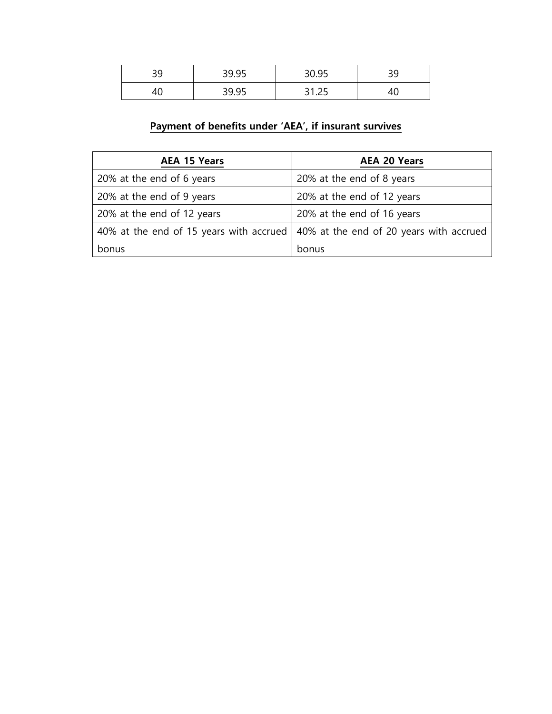| $\cap$<br>ر ر | 39.95 | 30.95              | <u>ے ب</u> |
|---------------|-------|--------------------|------------|
|               | 39.95 | ີ 1<br>ر ے. ا<br>ັ |            |

# **Payment of benefits under 'AEA', if insurant survives**

| <b>AEA 15 Years</b>        | <b>AEA 20 Years</b>                                                               |
|----------------------------|-----------------------------------------------------------------------------------|
| 20% at the end of 6 years  | 20% at the end of 8 years                                                         |
| 20% at the end of 9 years  | 20% at the end of 12 years                                                        |
| 20% at the end of 12 years | 20% at the end of 16 years                                                        |
|                            | 40% at the end of 15 years with accrued   40% at the end of 20 years with accrued |
| bonus                      | bonus                                                                             |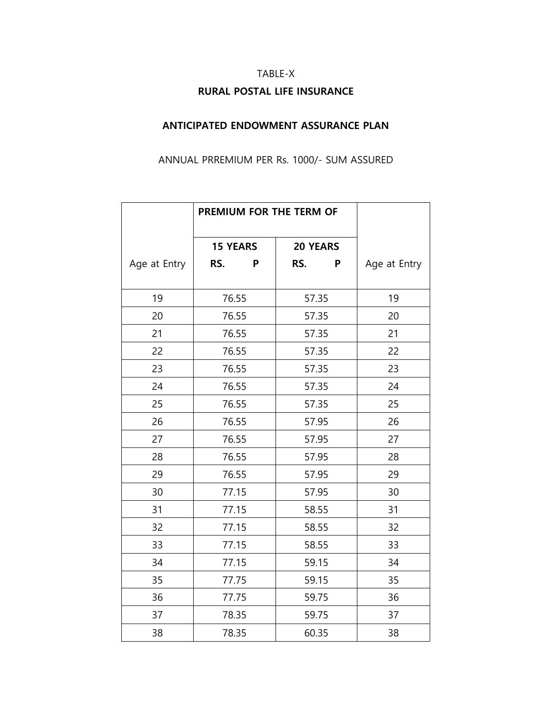# TABLE-X **RURAL POSTAL LIFE INSURANCE**

### **ANTICIPATED ENDOWMENT ASSURANCE PLAN**

#### ANNUAL PRREMIUM PER Rs. 1000/- SUM ASSURED

|              | PREMIUM FOR THE TERM OF |   |                 |   |              |
|--------------|-------------------------|---|-----------------|---|--------------|
|              | <b>15 YEARS</b>         |   | <b>20 YEARS</b> |   |              |
| Age at Entry | RS.                     | P | RS.             | P | Age at Entry |
| 19           | 76.55                   |   | 57.35           |   | 19           |
| 20           | 76.55                   |   | 57.35           |   | 20           |
| 21           | 76.55                   |   | 57.35           |   | 21           |
| 22           | 76.55                   |   | 57.35           |   | 22           |
| 23           | 76.55                   |   | 57.35           |   | 23           |
| 24           | 76.55                   |   | 57.35           |   | 24           |
| 25           | 76.55                   |   | 57.35           |   | 25           |
| 26           | 76.55                   |   | 57.95           |   | 26           |
| 27           | 76.55                   |   | 57.95           |   | 27           |
| 28           | 76.55                   |   | 57.95           |   | 28           |
| 29           | 76.55                   |   | 57.95           |   | 29           |
| 30           | 77.15                   |   | 57.95           |   | 30           |
| 31           | 77.15                   |   | 58.55           |   | 31           |
| 32           | 77.15                   |   | 58.55           |   | 32           |
| 33           | 77.15                   |   | 58.55           |   | 33           |
| 34           | 77.15                   |   | 59.15           |   | 34           |
| 35           | 77.75                   |   | 59.15           |   | 35           |
| 36           | 77.75                   |   | 59.75           |   | 36           |
| 37           | 78.35                   |   | 59.75           |   | 37           |
| 38           | 78.35                   |   | 60.35           |   | 38           |